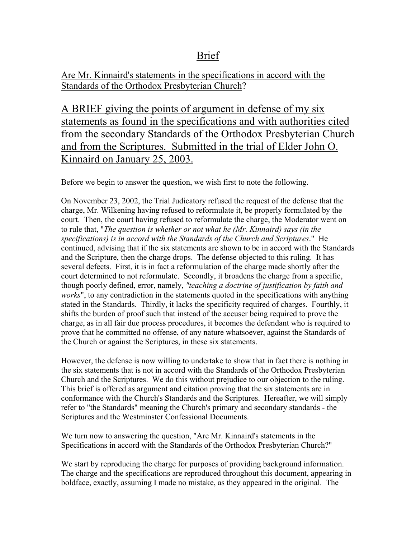# Brief

Are Mr. Kinnaird's statements in the specifications in accord with the Standards of the Orthodox Presbyterian Church?

A BRIEF giving the points of argument in defense of my six statements as found in the specifications and with authorities cited from the secondary Standards of the Orthodox Presbyterian Church and from the Scriptures. Submitted in the trial of Elder John O. Kinnaird on January 25, 2003.

Before we begin to answer the question, we wish first to note the following.

On November 23, 2002, the Trial Judicatory refused the request of the defense that the charge, Mr. Wilkening having refused to reformulate it, be properly formulated by the court. Then, the court having refused to reformulate the charge, the Moderator went on to rule that, "*The question is whether or not what he (Mr. Kinnaird) says (in the specifications) is in accord with the Standards of the Church and Scriptures*." He continued, advising that if the six statements are shown to be in accord with the Standards and the Scripture, then the charge drops. The defense objected to this ruling. It has several defects. First, it is in fact a reformulation of the charge made shortly after the court determined to not reformulate. Secondly, it broadens the charge from a specific, though poorly defined, error, namely, *"teaching a doctrine of justification by faith and works*", to any contradiction in the statements quoted in the specifications with anything stated in the Standards. Thirdly, it lacks the specificity required of charges. Fourthly, it shifts the burden of proof such that instead of the accuser being required to prove the charge, as in all fair due process procedures, it becomes the defendant who is required to prove that he committed no offense, of any nature whatsoever, against the Standards of the Church or against the Scriptures, in these six statements.

However, the defense is now willing to undertake to show that in fact there is nothing in the six statements that is not in accord with the Standards of the Orthodox Presbyterian Church and the Scriptures. We do this without prejudice to our objection to the ruling. This brief is offered as argument and citation proving that the six statements are in conformance with the Church's Standards and the Scriptures. Hereafter, we will simply refer to "the Standards" meaning the Church's primary and secondary standards - the Scriptures and the Westminster Confessional Documents.

We turn now to answering the question, "Are Mr. Kinnaird's statements in the Specifications in accord with the Standards of the Orthodox Presbyterian Church?"

We start by reproducing the charge for purposes of providing background information. The charge and the specifications are reproduced throughout this document, appearing in boldface, exactly, assuming I made no mistake, as they appeared in the original. The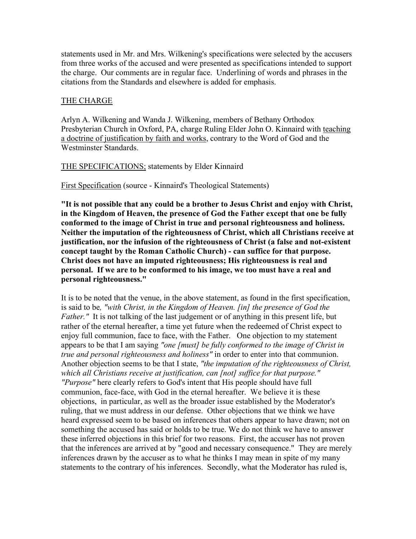statements used in Mr. and Mrs. Wilkening's specifications were selected by the accusers from three works of the accused and were presented as specifications intended to support the charge. Our comments are in regular face. Underlining of words and phrases in the citations from the Standards and elsewhere is added for emphasis.

## THE CHARGE

Arlyn A. Wilkening and Wanda J. Wilkening, members of Bethany Orthodox Presbyterian Church in Oxford, PA, charge Ruling Elder John O. Kinnaird with teaching a doctrine of justification by faith and works, contrary to the Word of God and the Westminster Standards.

## THE SPECIFICATIONS; statements by Elder Kinnaird

First Specification (source - Kinnaird's Theological Statements)

**"It is not possible that any could be a brother to Jesus Christ and enjoy with Christ, in the Kingdom of Heaven, the presence of God the Father except that one be fully conformed to the image of Christ in true and personal righteousness and holiness. Neither the imputation of the righteousness of Christ, which all Christians receive at justification, nor the infusion of the righteousness of Christ (a false and not-existent concept taught by the Roman Catholic Church) - can suffice for that purpose. Christ does not have an imputed righteousness; His righteousness is real and personal. If we are to be conformed to his image, we too must have a real and personal righteousness."** 

It is to be noted that the venue, in the above statement, as found in the first specification, is said to be*, "with Christ, in the Kingdom of Heaven. [in] the presence of God the Father.*" It is not talking of the last judgement or of anything in this present life, but rather of the eternal hereafter, a time yet future when the redeemed of Christ expect to enjoy full communion, face to face, with the Father. One objection to my statement appears to be that I am saying *"one [must] be fully conformed to the image of Christ in true and personal righteousness and holiness"* in order to enter into that communion. Another objection seems to be that I state, *"the imputation of the righteousness of Christ, which all Christians receive at justification, can [not] suffice for that purpose." "Purpose"* here clearly refers to God's intent that His people should have full communion, face-face, with God in the eternal hereafter. We believe it is these objections, in particular, as well as the broader issue established by the Moderator's ruling, that we must address in our defense. Other objections that we think we have heard expressed seem to be based on inferences that others appear to have drawn; not on something the accused has said or holds to be true. We do not think we have to answer these inferred objections in this brief for two reasons. First, the accuser has not proven that the inferences are arrived at by "good and necessary consequence." They are merely inferences drawn by the accuser as to what he thinks I may mean in spite of my many statements to the contrary of his inferences. Secondly, what the Moderator has ruled is,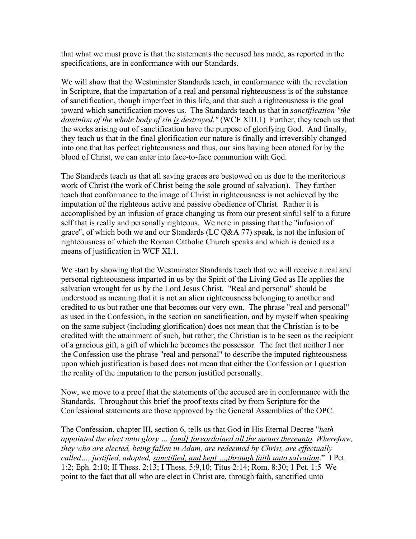that what we must prove is that the statements the accused has made, as reported in the specifications, are in conformance with our Standards.

We will show that the Westminster Standards teach, in conformance with the revelation in Scripture, that the impartation of a real and personal righteousness is of the substance of sanctification, though imperfect in this life, and that such a righteousness is the goal toward which sanctification moves us. The Standards teach us that in *sanctification "the dominion of the whole body of sin is destroyed."* (WCF XIII.1) Further, they teach us that the works arising out of sanctification have the purpose of glorifying God. And finally, they teach us that in the final glorification our nature is finally and irreversibly changed into one that has perfect righteousness and thus, our sins having been atoned for by the blood of Christ, we can enter into face-to-face communion with God.

The Standards teach us that all saving graces are bestowed on us due to the meritorious work of Christ (the work of Christ being the sole ground of salvation). They further teach that conformance to the image of Christ in righteousness is not achieved by the imputation of the righteous active and passive obedience of Christ. Rather it is accomplished by an infusion of grace changing us from our present sinful self to a future self that is really and personally righteous. We note in passing that the "infusion of grace", of which both we and our Standards (LC Q&A 77) speak, is not the infusion of righteousness of which the Roman Catholic Church speaks and which is denied as a means of justification in WCF XI.1.

We start by showing that the Westminster Standards teach that we will receive a real and personal righteousness imparted in us by the Spirit of the Living God as He applies the salvation wrought for us by the Lord Jesus Christ. "Real and personal" should be understood as meaning that it is not an alien righteousness belonging to another and credited to us but rather one that becomes our very own. The phrase "real and personal" as used in the Confession, in the section on sanctification, and by myself when speaking on the same subject (including glorification) does not mean that the Christian is to be credited with the attainment of such, but rather, the Christian is to be seen as the recipient of a gracious gift, a gift of which he becomes the possessor. The fact that neither I nor the Confession use the phrase "real and personal" to describe the imputed righteousness upon which justification is based does not mean that either the Confession or I question the reality of the imputation to the person justified personally.

Now, we move to a proof that the statements of the accused are in conformance with the Standards. Throughout this brief the proof texts cited by from Scripture for the Confessional statements are those approved by the General Assemblies of the OPC.

The Confession, chapter III, section 6, tells us that God in His Eternal Decree "*hath appointed the elect unto glory … [and] foreordained all the means thereunto. Wherefore, they who are elected, being fallen in Adam, are redeemed by Christ, are effectually called…, justified, adopted, sanctified, and kept …,through faith unto salvation*." I Pet. 1:2; Eph. 2:10; II Thess. 2:13; I Thess. 5:9,10; Titus 2:14; Rom. 8:30; 1 Pet. 1:5 We point to the fact that all who are elect in Christ are, through faith, sanctified unto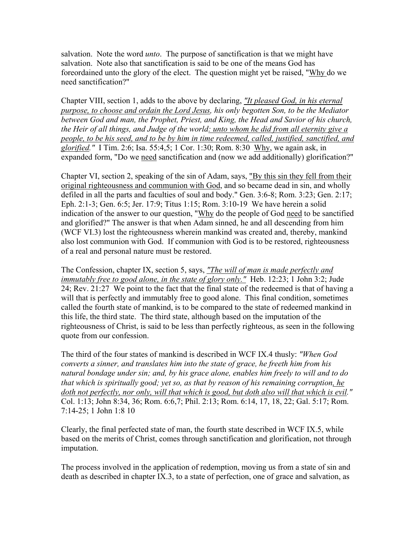salvation. Note the word *unto*. The purpose of sanctification is that we might have salvation. Note also that sanctification is said to be one of the means God has foreordained unto the glory of the elect. The question might yet be raised, "Why do we need sanctification?"

Chapter VIII, section 1, adds to the above by declaring, *"It pleased God, in his eternal purpose, to choose and ordain the Lord Jesus, his only begotten Son, to be the Mediator between God and man, the Prophet, Priest, and King, the Head and Savior of his church, the Heir of all things, and Judge of the world: unto whom he did from all eternity give a people, to be his seed, and to be by him in time redeemed, called, justified, sanctified, and glorified."* I Tim. 2:6; Isa. 55:4,5; 1 Cor. 1:30; Rom. 8:30 Why, we again ask, in expanded form, "Do we need sanctification and (now we add additionally) glorification?"

Chapter VI, section 2, speaking of the sin of Adam, says, "By this sin they fell from their original righteousness and communion with God, and so became dead in sin, and wholly defiled in all the parts and faculties of soul and body." Gen. 3:6-8; Rom. 3:23; Gen. 2:17; Eph. 2:1-3; Gen. 6:5; Jer. 17:9; Titus 1:15; Rom. 3:10-19 We have herein a solid indication of the answer to our question, "Why do the people of God need to be sanctified and glorified?" The answer is that when Adam sinned, he and all descending from him (WCF VI.3) lost the righteousness wherein mankind was created and, thereby, mankind also lost communion with God. If communion with God is to be restored, righteousness of a real and personal nature must be restored.

The Confession, chapter IX, section 5, says, *"The will of man is made perfectly and immutably free to good alone, in the state of glory only."* Heb. 12:23; 1 John 3:2; Jude 24; Rev. 21:27 We point to the fact that the final state of the redeemed is that of having a will that is perfectly and immutably free to good alone. This final condition, sometimes called the fourth state of mankind, is to be compared to the state of redeemed mankind in this life, the third state. The third state, although based on the imputation of the righteousness of Christ, is said to be less than perfectly righteous, as seen in the following quote from our confession.

The third of the four states of mankind is described in WCF IX.4 thusly: *"When God converts a sinner, and translates him into the state of grace, he freeth him from his natural bondage under sin; and, by his grace alone, enables him freely to will and to do that which is spiritually good; yet so, as that by reason of his remaining corruption, he doth not perfectly, nor only, will that which is good, but doth also will that which is evil."* Col. 1:13; John 8:34, 36; Rom. 6:6,7; Phil. 2:13; Rom. 6:14, 17, 18, 22; Gal. 5:17; Rom. 7:14-25; 1 John 1:8 10

Clearly, the final perfected state of man, the fourth state described in WCF IX.5, while based on the merits of Christ, comes through sanctification and glorification, not through imputation.

The process involved in the application of redemption, moving us from a state of sin and death as described in chapter IX.3, to a state of perfection, one of grace and salvation, as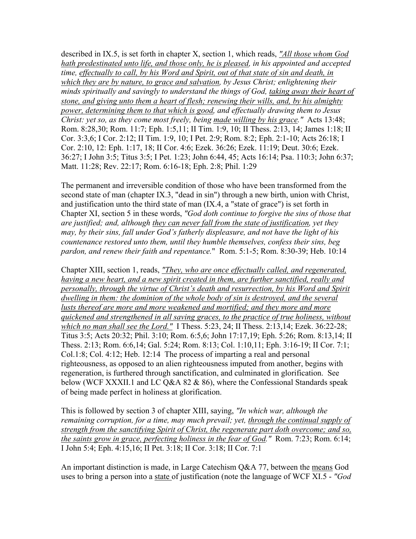described in IX.5, is set forth in chapter X, section 1, which reads, *"All those whom God hath predestinated unto life, and those only, he is pleased, in his appointed and accepted time, effectually to call, by his Word and Spirit, out of that state of sin and death, in which they are by nature, to grace and salvation, by Jesus Christ; enlightening their minds spiritually and savingly to understand the things of God, taking away their heart of stone, and giving unto them a heart of flesh; renewing their wills, and, by his almighty power, determining them to that which is good, and effectually drawing them to Jesus Christ: yet so, as they come most freely, being made willing by his grace."* Acts 13:48; Rom. 8:28,30; Rom. 11:7; Eph. 1:5,11; II Tim. 1:9, 10; II Thess. 2:13, 14; James 1:18; II Cor. 3:3,6; I Cor. 2:12; II Tim. 1:9, 10; I Pet. 2:9; Rom. 8:2; Eph. 2:1-10; Acts 26:18; I Cor. 2:10, 12: Eph. 1:17, 18; II Cor. 4:6; Ezek. 36:26; Ezek. 11:19; Deut. 30:6; Ezek. 36:27; I John 3:5; Titus 3:5; I Pet. 1:23; John 6:44, 45; Acts 16:14; Psa. 110:3; John 6:37; Matt. 11:28; Rev. 22:17; Rom. 6:16-18; Eph. 2:8; Phil. 1:29

The permanent and irreversible condition of those who have been transformed from the second state of man (chapter IX.3, "dead in sin") through a new birth, union with Christ, and justification unto the third state of man (IX.4, a "state of grace") is set forth in Chapter XI, section 5 in these words, *"God doth continue to forgive the sins of those that are justified; and, although they can never fall from the state of justification, yet they may, by their sins, fall under God's fatherly displeasure, and not have the light of his countenance restored unto them, until they humble themselves, confess their sins, beg pardon, and renew their faith and repentance.*" Rom. 5:1-5; Rom. 8:30-39; Heb. 10:14

Chapter XIII, section 1, reads, *"They, who are once effectually called, and regenerated, having a new heart, and a new spirit created in them, are further sanctified, really and personally, through the virtue of Christ's death and resurrection, by his Word and Spirit dwelling in them: the dominion of the whole body of sin is destroyed, and the several lusts thereof are more and more weakened and mortified; and they more and more quickened and strengthened in all saving graces, to the practice of true holiness, without which no man shall see the Lord."* I Thess. 5:23, 24; II Thess. 2:13,14; Ezek. 36:22-28; Titus 3:5; Acts 20:32; Phil. 3:10; Rom. 6:5,6; John 17:17,19; Eph. 5:26; Rom. 8:13,14; II Thess. 2:13; Rom. 6:6,14; Gal. 5:24; Rom. 8:13; Col. 1:10,11; Eph. 3:16-19; II Cor. 7:1; Col.1:8; Col. 4:12; Heb. 12:14 The process of imparting a real and personal righteousness, as opposed to an alien righteousness imputed from another, begins with regeneration, is furthered through sanctification, and culminated in glorification. See below (WCF XXXII.1 and LC  $O&A 82&86$ ), where the Confessional Standards speak of being made perfect in holiness at glorification.

This is followed by section 3 of chapter XIII, saying, *"In which war, although the remaining corruption, for a time, may much prevail; yet, through the continual supply of strength from the sanctifying Spirit of Christ, the regenerate part doth overcome; and so, the saints grow in grace, perfecting holiness in the fear of God."* Rom. 7:23; Rom. 6:14; I John 5:4; Eph. 4:15,16; II Pet. 3:18; II Cor. 3:18; II Cor. 7:1

An important distinction is made, in Large Catechism Q&A 77, between the means God uses to bring a person into a state of justification (note the language of WCF XI.5 - *"God*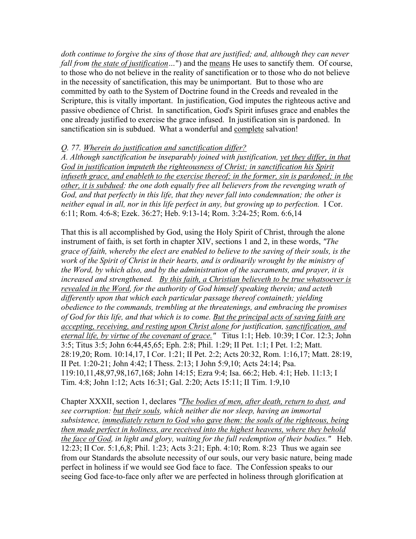*doth continue to forgive the sins of those that are justified; and, although they can never fall from the state of justification*...") and the means He uses to sanctify them. Of course, to those who do not believe in the reality of sanctification or to those who do not believe in the necessity of sanctification, this may be unimportant. But to those who are committed by oath to the System of Doctrine found in the Creeds and revealed in the Scripture, this is vitally important. In justification, God imputes the righteous active and passive obedience of Christ. In sanctification, God's Spirit infuses grace and enables the one already justified to exercise the grace infused. In justification sin is pardoned. In sanctification sin is subdued. What a wonderful and complete salvation!

## *Q. 77. Wherein do justification and sanctification differ?*

*A. Although sanctification be inseparably joined with justification, yet they differ, in that God in justification imputeth the righteousness of Christ; in sanctification his Spirit infuseth grace, and enableth to the exercise thereof; in the former, sin is pardoned; in the other, it is subdued: the one doth equally free all believers from the revenging wrath of God, and that perfectly in this life, that they never fall into condemnation; the other is neither equal in all, nor in this life perfect in any, but growing up to perfection.* I Cor. 6:11; Rom. 4:6-8; Ezek. 36:27; Heb. 9:13-14; Rom. 3:24-25; Rom. 6:6,14

That this is all accomplished by God, using the Holy Spirit of Christ, through the alone instrument of faith, is set forth in chapter XIV, sections 1 and 2, in these words, *"The grace of faith, whereby the elect are enabled to believe to the saving of their souls, is the work of the Spirit of Christ in their hearts, and is ordinarily wrought by the ministry of the Word, by which also, and by the administration of the sacraments, and prayer, it is increased and strengthened. By this faith, a Christian believeth to be true whatsoever is revealed in the Word, for the authority of God himself speaking therein; and acteth differently upon that which each particular passage thereof containeth; yielding obedience to the commands, trembling at the threatenings, and embracing the promises of God for this life, and that which is to come. But the principal acts of saving faith are accepting, receiving, and resting upon Christ alone for justification, sanctification, and eternal life, by virtue of the covenant of grace."* Titus 1:1; Heb. 10:39; I Cor. 12:3; John 3:5; Titus 3:5; John 6:44,45,65; Eph. 2:8; Phil. 1:29; II Pet. 1:1; I Pet. 1:2; Matt. 28:19,20; Rom. 10:14,17, I Cor. 1:21; II Pet. 2:2; Acts 20:32, Rom. 1:16,17; Matt. 28:19, II Pet. 1:20-21; John 4:42; I Thess. 2:13; I John 5:9,10; Acts 24:14; Psa. 119:10,11,48,97,98,167,168; John 14:15; Ezra 9:4; Isa. 66:2; Heb. 4:1; Heb. 11:13; I Tim. 4:8; John 1:12; Acts 16:31; Gal. 2:20; Acts 15:11; II Tim. 1:9,10

Chapter XXXII, section 1, declares *"The bodies of men, after death, return to dust, and see corruption: but their souls, which neither die nor sleep, having an immortal subsistence, immediately return to God who gave them: the souls of the righteous, being then made perfect in holiness, are received into the highest heavens, where they behold the face of God, in light and glory, waiting for the full redemption of their bodies."* Heb. 12:23; II Cor. 5:1,6,8; Phil. 1:23; Acts 3:21; Eph. 4:10; Rom. 8:23 Thus we again see from our Standards the absolute necessity of our souls, our very basic nature, being made perfect in holiness if we would see God face to face. The Confession speaks to our seeing God face-to-face only after we are perfected in holiness through glorification at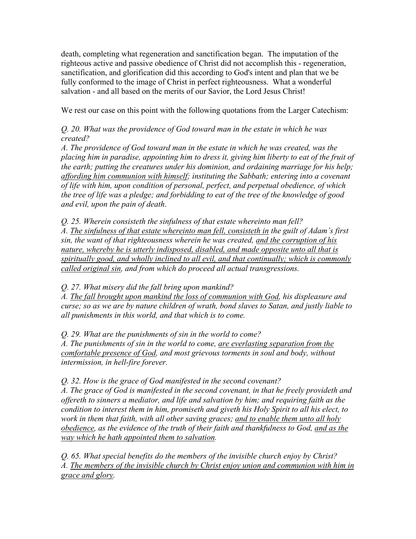death, completing what regeneration and sanctification began. The imputation of the righteous active and passive obedience of Christ did not accomplish this - regeneration, sanctification, and glorification did this according to God's intent and plan that we be fully conformed to the image of Christ in perfect righteousness. What a wonderful salvation - and all based on the merits of our Savior, the Lord Jesus Christ!

We rest our case on this point with the following quotations from the Larger Catechism:

# *Q. 20. What was the providence of God toward man in the estate in which he was created?*

*A. The providence of God toward man in the estate in which he was created, was the placing him in paradise, appointing him to dress it, giving him liberty to eat of the fruit of the earth; putting the creatures under his dominion, and ordaining marriage for his help; affording him communion with himself; instituting the Sabbath; entering into a covenant of life with him, upon condition of personal, perfect, and perpetual obedience, of which the tree of life was a pledge; and forbidding to eat of the tree of the knowledge of good and evil, upon the pain of death*.

*Q. 25. Wherein consisteth the sinfulness of that estate whereinto man fell?* 

*A. The sinfulness of that estate whereinto man fell, consisteth in the guilt of Adam's first sin, the want of that righteousness wherein he was created, and the corruption of his nature, whereby he is utterly indisposed, disabled, and made opposite unto all that is spiritually good, and wholly inclined to all evil, and that continually; which is commonly called original sin, and from which do proceed all actual transgressions.* 

*Q. 27. What misery did the fall bring upon mankind?* 

*A. The fall brought upon mankind the loss of communion with God, his displeasure and curse; so as we are by nature children of wrath, bond slaves to Satan, and justly liable to all punishments in this world, and that which is to come.* 

*Q. 29. What are the punishments of sin in the world to come?* 

*A. The punishments of sin in the world to come, are everlasting separation from the comfortable presence of God, and most grievous torments in soul and body, without intermission, in hell-fire forever.* 

*Q. 32. How is the grace of God manifested in the second covenant?* 

*A. The grace of God is manifested in the second covenant, in that he freely provideth and offereth to sinners a mediator, and life and salvation by him; and requiring faith as the condition to interest them in him, promiseth and giveth his Holy Spirit to all his elect, to work in them that faith, with all other saving graces; and to enable them unto all holy obedience, as the evidence of the truth of their faith and thankfulness to God, and as the way which he hath appointed them to salvation.* 

*Q. 65. What special benefits do the members of the invisible church enjoy by Christ? A. The members of the invisible church by Christ enjoy union and communion with him in grace and glory.*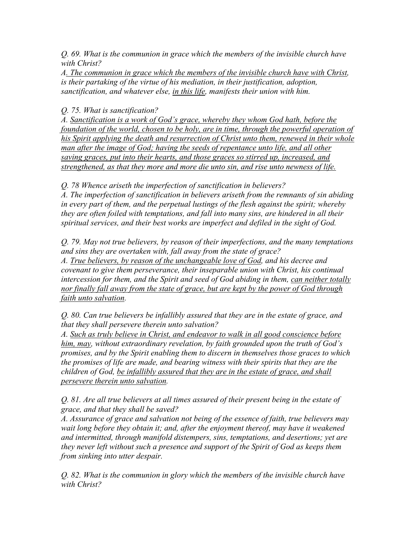*Q. 69. What is the communion in grace which the members of the invisible church have with Christ?* 

*A. The communion in grace which the members of the invisible church have with Christ, is their partaking of the virtue of his mediation, in their justification, adoption, sanctification, and whatever else, in this life, manifests their union with him.* 

# *Q. 75. What is sanctification?*

*A. Sanctification is a work of God's grace, whereby they whom God hath, before the foundation of the world, chosen to be holy, are in time, through the powerful operation of his Spirit applying the death and resurrection of Christ unto them, renewed in their whole man after the image of God; having the seeds of repentance unto life, and all other saving graces, put into their hearts, and those graces so stirred up, increased, and strengthened, as that they more and more die unto sin, and rise unto newness of life.*

*Q. 78 Whence ariseth the imperfection of sanctification in believers?* 

*A. The imperfection of sanctification in believers ariseth from the remnants of sin abiding in every part of them, and the perpetual lustings of the flesh against the spirit; whereby they are often foiled with temptations, and fall into many sins, are hindered in all their spiritual services, and their best works are imperfect and defiled in the sight of God.* 

*Q. 79. May not true believers, by reason of their imperfections, and the many temptations and sins they are overtaken with, fall away from the state of grace?* 

*A. True believers, by reason of the unchangeable love of God, and his decree and covenant to give them perseverance, their inseparable union with Christ, his continual intercession for them, and the Spirit and seed of God abiding in them, can neither totally nor finally fall away from the state of grace, but are kept by the power of God through faith unto salvation.* 

*Q. 80. Can true believers be infallibly assured that they are in the estate of grace, and that they shall persevere therein unto salvation?* 

*A. Such as truly believe in Christ, and endeavor to walk in all good conscience before him, may, without extraordinary revelation, by faith grounded upon the truth of God's promises, and by the Spirit enabling them to discern in themselves those graces to which the promises of life are made, and bearing witness with their spirits that they are the children of God, be infallibly assured that they are in the estate of grace, and shall persevere therein unto salvation.* 

*Q. 81. Are all true believers at all times assured of their present being in the estate of grace, and that they shall be saved?* 

*A. Assurance of grace and salvation not being of the essence of faith, true believers may wait long before they obtain it; and, after the enjoyment thereof, may have it weakened and intermitted, through manifold distempers, sins, temptations, and desertions; yet are they never left without such a presence and support of the Spirit of God as keeps them from sinking into utter despair.* 

*Q. 82. What is the communion in glory which the members of the invisible church have with Christ?*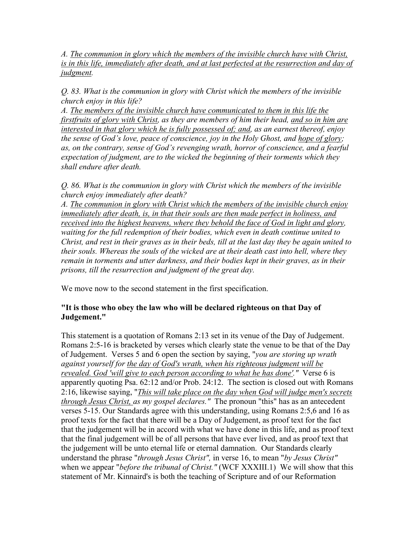*A. The communion in glory which the members of the invisible church have with Christ, is in this life, immediately after death, and at last perfected at the resurrection and day of judgment.* 

*Q. 83. What is the communion in glory with Christ which the members of the invisible church enjoy in this life?* 

*A. The members of the invisible church have communicated to them in this life the firstfruits of glory with Christ, as they are members of him their head, and so in him are interested in that glory which he is fully possessed of; and, as an earnest thereof, enjoy the sense of God's love, peace of conscience, joy in the Holy Ghost, and hope of glory; as, on the contrary, sense of God's revenging wrath, horror of conscience, and a fearful expectation of judgment, are to the wicked the beginning of their torments which they shall endure after death.* 

*Q. 86. What is the communion in glory with Christ which the members of the invisible church enjoy immediately after death?* 

*A. The communion in glory with Christ which the members of the invisible church enjoy immediately after death, is, in that their souls are then made perfect in holiness, and received into the highest heavens, where they behold the face of God in light and glory, waiting for the full redemption of their bodies, which even in death continue united to Christ, and rest in their graves as in their beds, till at the last day they be again united to their souls. Whereas the souls of the wicked are at their death cast into hell, where they remain in torments and utter darkness, and their bodies kept in their graves, as in their prisons, till the resurrection and judgment of the great day.* 

We move now to the second statement in the first specification.

## **"It is those who obey the law who will be declared righteous on that Day of Judgement."**

This statement is a quotation of Romans 2:13 set in its venue of the Day of Judgement. Romans 2:5-16 is bracketed by verses which clearly state the venue to be that of the Day of Judgement. Verses 5 and 6 open the section by saying, "*you are storing up wrath against yourself for the day of God's wrath, when his righteous judgment will be revealed. God 'will give to each person according to what he has done'."* Verse 6 is apparently quoting Psa. 62:12 and/or Prob. 24:12. The section is closed out with Romans 2:16, likewise saying, "*This will take place on the day when God will judge men's secrets through Jesus Christ, as my gospel declares."* The pronoun "this" has as an antecedent verses 5-15. Our Standards agree with this understanding, using Romans 2:5,6 and 16 as proof texts for the fact that there will be a Day of Judgement, as proof text for the fact that the judgement will be in accord with what we have done in this life, and as proof text that the final judgement will be of all persons that have ever lived, and as proof text that the judgement will be unto eternal life or eternal damnation. Our Standards clearly understand the phrase "*through Jesus Christ",* in verse 16, to mean "*by Jesus Christ"*  when we appear "*before the tribunal of Christ."* (WCF XXXIII.1) We will show that this statement of Mr. Kinnaird's is both the teaching of Scripture and of our Reformation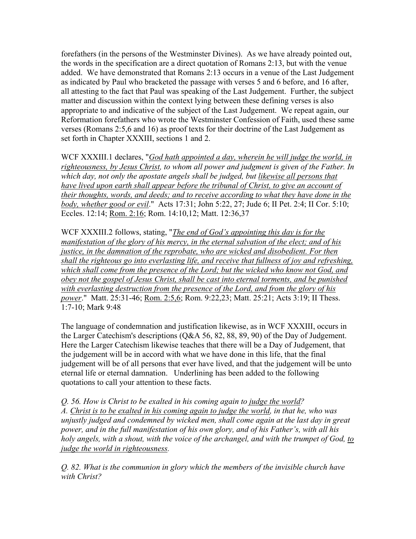forefathers (in the persons of the Westminster Divines). As we have already pointed out, the words in the specification are a direct quotation of Romans 2:13, but with the venue added. We have demonstrated that Romans 2:13 occurs in a venue of the Last Judgement as indicated by Paul who bracketed the passage with verses 5 and 6 before, and 16 after, all attesting to the fact that Paul was speaking of the Last Judgement. Further, the subject matter and discussion within the context lying between these defining verses is also appropriate to and indicative of the subject of the Last Judgement. We repeat again, our Reformation forefathers who wrote the Westminster Confession of Faith, used these same verses (Romans 2:5,6 and 16) as proof texts for their doctrine of the Last Judgement as set forth in Chapter XXXIII, sections 1 and 2.

WCF XXXIII.1 declares, "*God hath appointed a day, wherein he will judge the world, in righteousness, by Jesus Christ, to whom all power and judgment is given of the Father. In which day, not only the apostate angels shall be judged, but likewise all persons that have lived upon earth shall appear before the tribunal of Christ, to give an account of their thoughts, words, and deeds; and to receive according to what they have done in the body, whether good or evil*." Acts 17:31; John 5:22, 27; Jude 6; II Pet. 2:4; II Cor. 5:10; Eccles. 12:14; Rom. 2:16; Rom. 14:10,12; Matt. 12:36,37

WCF XXXIII.2 follows, stating, "*The end of God's appointing this day is for the manifestation of the glory of his mercy, in the eternal salvation of the elect; and of his justice, in the damnation of the reprobate, who are wicked and disobedient. For then shall the righteous go into everlasting life, and receive that fullness of joy and refreshing, which shall come from the presence of the Lord; but the wicked who know not God, and obey not the gospel of Jesus Christ, shall be cast into eternal torments, and be punished with everlasting destruction from the presence of the Lord, and from the glory of his power*." Matt. 25:31-46; Rom. 2:5,6; Rom. 9:22,23; Matt. 25:21; Acts 3:19; II Thess. 1:7-10; Mark 9:48

The language of condemnation and justification likewise, as in WCF XXXIII, occurs in the Larger Catechism's descriptions (Q&A 56, 82, 88, 89, 90) of the Day of Judgement. Here the Larger Catechism likewise teaches that there will be a Day of Judgement, that the judgement will be in accord with what we have done in this life, that the final judgement will be of all persons that ever have lived, and that the judgement will be unto eternal life or eternal damnation. Underlining has been added to the following quotations to call your attention to these facts.

*Q. 56. How is Christ to be exalted in his coming again to judge the world? A. Christ is to be exalted in his coming again to judge the world, in that he, who was unjustly judged and condemned by wicked men, shall come again at the last day in great power, and in the full manifestation of his own glory, and of his Father's, with all his holy angels, with a shout, with the voice of the archangel, and with the trumpet of God, to judge the world in righteousness.* 

*Q. 82. What is the communion in glory which the members of the invisible church have with Christ?*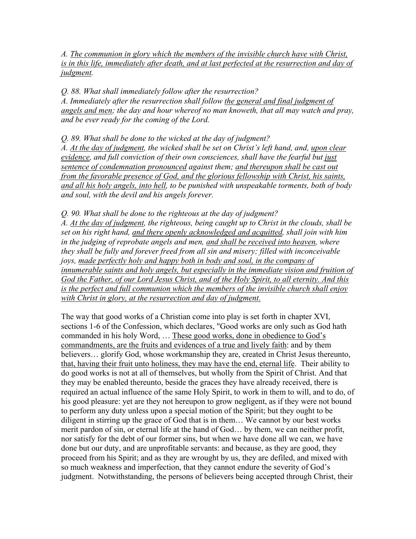*A. The communion in glory which the members of the invisible church have with Christ, is in this life, immediately after death, and at last perfected at the resurrection and day of judgment.* 

*Q. 88. What shall immediately follow after the resurrection? A. Immediately after the resurrection shall follow the general and final judgment of angels and men; the day and hour whereof no man knoweth, that all may watch and pray, and be ever ready for the coming of the Lord.* 

*Q. 89. What shall be done to the wicked at the day of judgment? A. At the day of judgment, the wicked shall be set on Christ's left hand, and, upon clear evidence, and full conviction of their own consciences, shall have the fearful but just sentence of condemnation pronounced against them; and thereupon shall be cast out from the favorable presence of God, and the glorious fellowship with Christ, his saints, and all his holy angels, into hell, to be punished with unspeakable torments, both of body and soul, with the devil and his angels forever.* 

*Q. 90. What shall be done to the righteous at the day of judgment? A. At the day of judgment, the righteous, being caught up to Christ in the clouds, shall be set on his right hand, and there openly acknowledged and acquitted, shall join with him in the judging of reprobate angels and men, and shall be received into heaven, where they shall be fully and forever freed from all sin and misery; filled with inconceivable joys, made perfectly holy and happy both in body and soul, in the company of*  innumerable saints and holy angels, but especially in the immediate vision and fruition of *God the Father, of our Lord Jesus Christ, and of the Holy Spirit, to all eternity. And this is the perfect and full communion which the members of the invisible church shall enjoy with Christ in glory, at the resurrection and day of judgment.*

The way that good works of a Christian come into play is set forth in chapter XVI, sections 1-6 of the Confession, which declares, "Good works are only such as God hath commanded in his holy Word, … These good works, done in obedience to God's commandments, are the fruits and evidences of a true and lively faith: and by them believers… glorify God, whose workmanship they are, created in Christ Jesus thereunto, that, having their fruit unto holiness, they may have the end, eternal life. Their ability to do good works is not at all of themselves, but wholly from the Spirit of Christ. And that they may be enabled thereunto, beside the graces they have already received, there is required an actual influence of the same Holy Spirit, to work in them to will, and to do, of his good pleasure: yet are they not hereupon to grow negligent, as if they were not bound to perform any duty unless upon a special motion of the Spirit; but they ought to be diligent in stirring up the grace of God that is in them… We cannot by our best works merit pardon of sin, or eternal life at the hand of God… by them, we can neither profit, nor satisfy for the debt of our former sins, but when we have done all we can, we have done but our duty, and are unprofitable servants: and because, as they are good, they proceed from his Spirit; and as they are wrought by us, they are defiled, and mixed with so much weakness and imperfection, that they cannot endure the severity of God's judgment. Notwithstanding, the persons of believers being accepted through Christ, their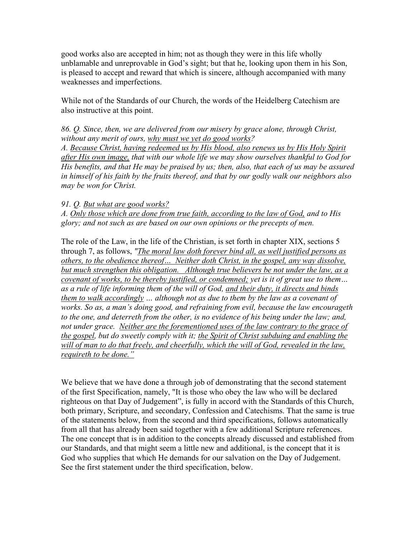good works also are accepted in him; not as though they were in this life wholly unblamable and unreprovable in God's sight; but that he, looking upon them in his Son, is pleased to accept and reward that which is sincere, although accompanied with many weaknesses and imperfections.

While not of the Standards of our Church, the words of the Heidelberg Catechism are also instructive at this point.

*86. Q. Since, then, we are delivered from our misery by grace alone, through Christ, without any merit of ours, why must we yet do good works?* 

*A. Because Christ, having redeemed us by His blood, also renews us by His Holy Spirit after His own image, that with our whole life we may show ourselves thankful to God for His benefits, and that He may be praised by us; then, also, that each of us may be assured in himself of his faith by the fruits thereof, and that by our godly walk our neighbors also may be won for Christ.* 

*91. Q. But what are good works?*

*A. Only those which are done from true faith, according to the law of God, and to His glory; and not such as are based on our own opinions or the precepts of men.* 

The role of the Law, in the life of the Christian, is set forth in chapter XIX, sections 5 through 7, as follows, *"The moral law doth forever bind all, as well justified persons as others, to the obedience thereof… Neither doth Christ, in the gospel, any way dissolve, but much strengthen this obligation. Although true believers be not under the law, as a covenant of works, to be thereby justified, or condemned; yet is it of great use to them… as a rule of life informing them of the will of God, and their duty, it directs and binds them to walk accordingly … although not as due to them by the law as a covenant of works. So as, a man's doing good, and refraining from evil, because the law encourageth to the one, and deterreth from the other, is no evidence of his being under the law; and, not under grace. Neither are the forementioned uses of the law contrary to the grace of the gospel, but do sweetly comply with it; the Spirit of Christ subduing and enabling the will of man to do that freely, and cheerfully, which the will of God, revealed in the law, requireth to be done."*

We believe that we have done a through job of demonstrating that the second statement of the first Specification, namely, "It is those who obey the law who will be declared righteous on that Day of Judgement", is fully in accord with the Standards of this Church, both primary, Scripture, and secondary, Confession and Catechisms. That the same is true of the statements below, from the second and third specifications, follows automatically from all that has already been said together with a few additional Scripture references. The one concept that is in addition to the concepts already discussed and established from our Standards, and that might seem a little new and additional, is the concept that it is God who supplies that which He demands for our salvation on the Day of Judgement. See the first statement under the third specification, below.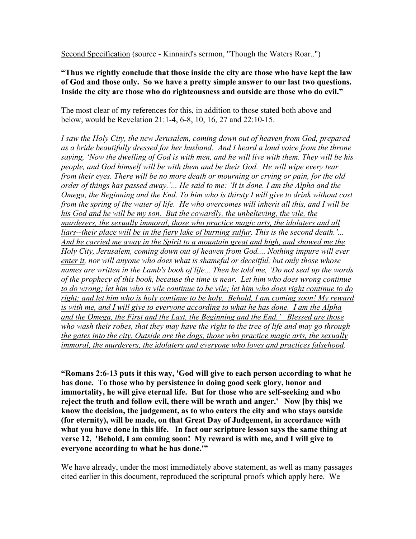Second Specification (source - Kinnaird's sermon, "Though the Waters Roar..")

**"Thus we rightly conclude that those inside the city are those who have kept the law of God and those only. So we have a pretty simple answer to our last two questions. Inside the city are those who do righteousness and outside are those who do evil."** 

The most clear of my references for this, in addition to those stated both above and below, would be Revelation 21:1-4, 6-8, 10, 16, 27 and 22:10-15.

*I saw the Holy City, the new Jerusalem, coming down out of heaven from God, prepared as a bride beautifully dressed for her husband. And I heard a loud voice from the throne saying, 'Now the dwelling of God is with men, and he will live with them. They will be his people, and God himself will be with them and be their God. He will wipe every tear from their eyes. There will be no more death or mourning or crying or pain, for the old order of things has passed away.'... He said to me: 'It is done. I am the Alpha and the Omega, the Beginning and the End. To him who is thirsty I will give to drink without cost from the spring of the water of life. He who overcomes will inherit all this, and I will be his God and he will be my son. But the cowardly, the unbelieving, the vile, the murderers, the sexually immoral, those who practice magic arts, the idolaters and all liars--their place will be in the fiery lake of burning sulfur. This is the second death.'... And he carried me away in the Spirit to a mountain great and high, and showed me the Holy City, Jerusalem, coming down out of heaven from God.... Nothing impure will ever enter it, nor will anyone who does what is shameful or deceitful, but only those whose names are written in the Lamb's book of life... Then he told me, 'Do not seal up the words of the prophecy of this book, because the time is near. Let him who does wrong continue to do wrong; let him who is vile continue to be vile; let him who does right continue to do right; and let him who is holy continue to be holy. Behold, I am coming soon! My reward is with me, and I will give to everyone according to what he has done. I am the Alpha and the Omega, the First and the Last, the Beginning and the End.' Blessed are those who wash their robes, that they may have the right to the tree of life and may go through the gates into the city. Outside are the dogs, those who practice magic arts, the sexually immoral, the murderers, the idolaters and everyone who loves and practices falsehood.* 

**"Romans 2:6-13 puts it this way, 'God will give to each person according to what he has done. To those who by persistence in doing good seek glory, honor and immortality, he will give eternal life. But for those who are self-seeking and who reject the truth and follow evil, there will be wrath and anger.' Now [by this] we know the decision, the judgement, as to who enters the city and who stays outside (for eternity), will be made, on that Great Day of Judgement, in accordance with what you have done in this life. In fact our scripture lesson says the same thing at verse 12, 'Behold, I am coming soon! My reward is with me, and I will give to everyone according to what he has done.'"** 

We have already, under the most immediately above statement, as well as many passages cited earlier in this document, reproduced the scriptural proofs which apply here. We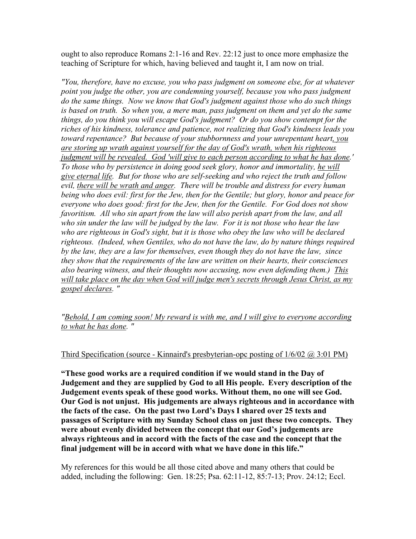ought to also reproduce Romans 2:1-16 and Rev. 22:12 just to once more emphasize the teaching of Scripture for which, having believed and taught it, I am now on trial.

*"You, therefore, have no excuse, you who pass judgment on someone else, for at whatever point you judge the other, you are condemning yourself, because you who pass judgment do the same things. Now we know that God's judgment against those who do such things is based on truth. So when you, a mere man, pass judgment on them and yet do the same things, do you think you will escape God's judgment? Or do you show contempt for the riches of his kindness, tolerance and patience, not realizing that God's kindness leads you toward repentance? But because of your stubbornness and your unrepentant heart, you are storing up wrath against yourself for the day of God's wrath, when his righteous judgment will be revealed. God 'will give to each person according to what he has done.' To those who by persistence in doing good seek glory, honor and immortality, he will give eternal life. But for those who are self-seeking and who reject the truth and follow evil, there will be wrath and anger. There will be trouble and distress for every human being who does evil: first for the Jew, then for the Gentile; but glory, honor and peace for everyone who does good: first for the Jew, then for the Gentile. For God does not show favoritism. All who sin apart from the law will also perish apart from the law, and all who sin under the law will be judged by the law. For it is not those who hear the law who are righteous in God's sight, but it is those who obey the law who will be declared righteous. (Indeed, when Gentiles, who do not have the law, do by nature things required by the law, they are a law for themselves, even though they do not have the law, since they show that the requirements of the law are written on their hearts, their consciences also bearing witness, and their thoughts now accusing, now even defending them.) This will take place on the day when God will judge men's secrets through Jesus Christ, as my gospel declares. "* 

*"Behold, I am coming soon! My reward is with me, and I will give to everyone according to what he has done. "* 

#### Third Specification (source - Kinnaird's presbyterian-opc posting of 1/6/02 @ 3:01 PM)

**"These good works are a required condition if we would stand in the Day of Judgement and they are supplied by God to all His people. Every description of the Judgement events speak of these good works. Without them, no one will see God. Our God is not unjust. His judgements are always righteous and in accordance with the facts of the case. On the past two Lord's Days I shared over 25 texts and passages of Scripture with my Sunday School class on just these two concepts. They were about evenly divided between the concept that our God's judgements are always righteous and in accord with the facts of the case and the concept that the final judgement will be in accord with what we have done in this life."** 

My references for this would be all those cited above and many others that could be added, including the following: Gen. 18:25; Psa. 62:11-12, 85:7-13; Prov. 24:12; Eccl.